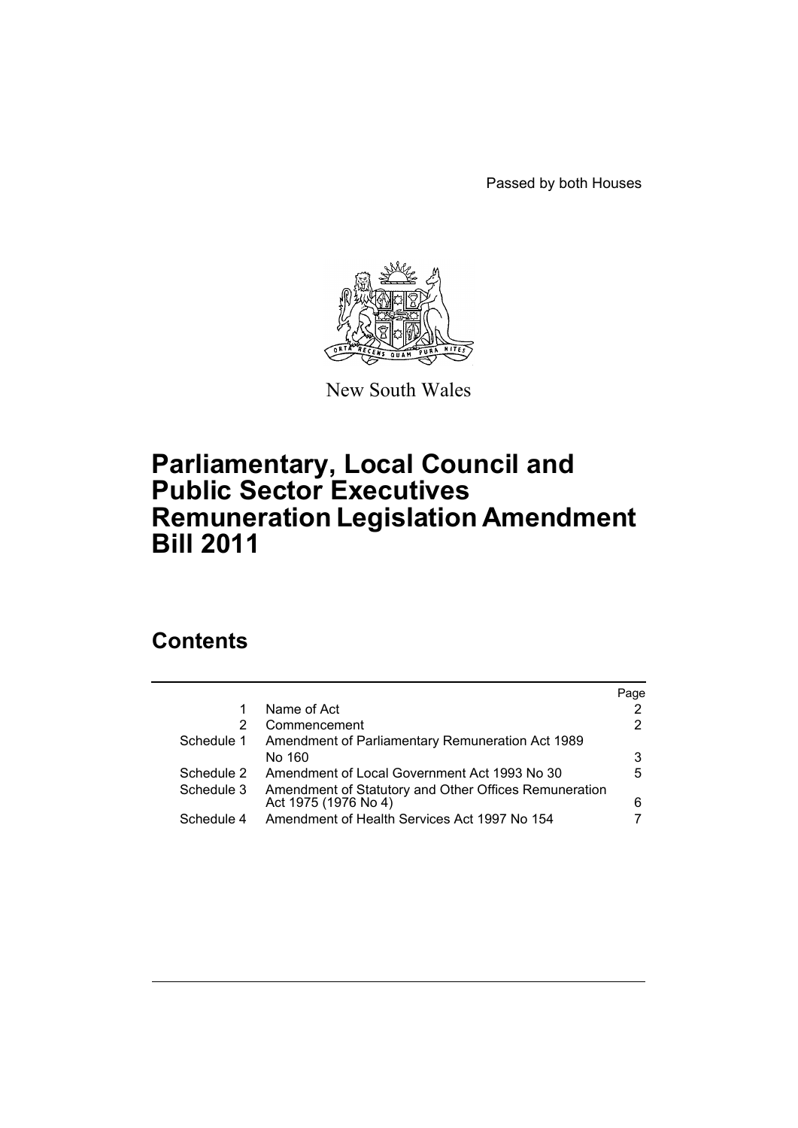Passed by both Houses



New South Wales

# **Parliamentary, Local Council and Public Sector Executives Remuneration Legislation Amendment Bill 2011**

# **Contents**

|            |                                                       | Page |
|------------|-------------------------------------------------------|------|
|            | Name of Act                                           |      |
| 2          | Commencement                                          | 2    |
| Schedule 1 | Amendment of Parliamentary Remuneration Act 1989      |      |
|            | No 160                                                | 3    |
| Schedule 2 | Amendment of Local Government Act 1993 No 30          | 5    |
| Schedule 3 | Amendment of Statutory and Other Offices Remuneration |      |
|            | Act 1975 (1976 No 4)                                  | 6    |
| Schedule 4 | Amendment of Health Services Act 1997 No 154          |      |
|            |                                                       |      |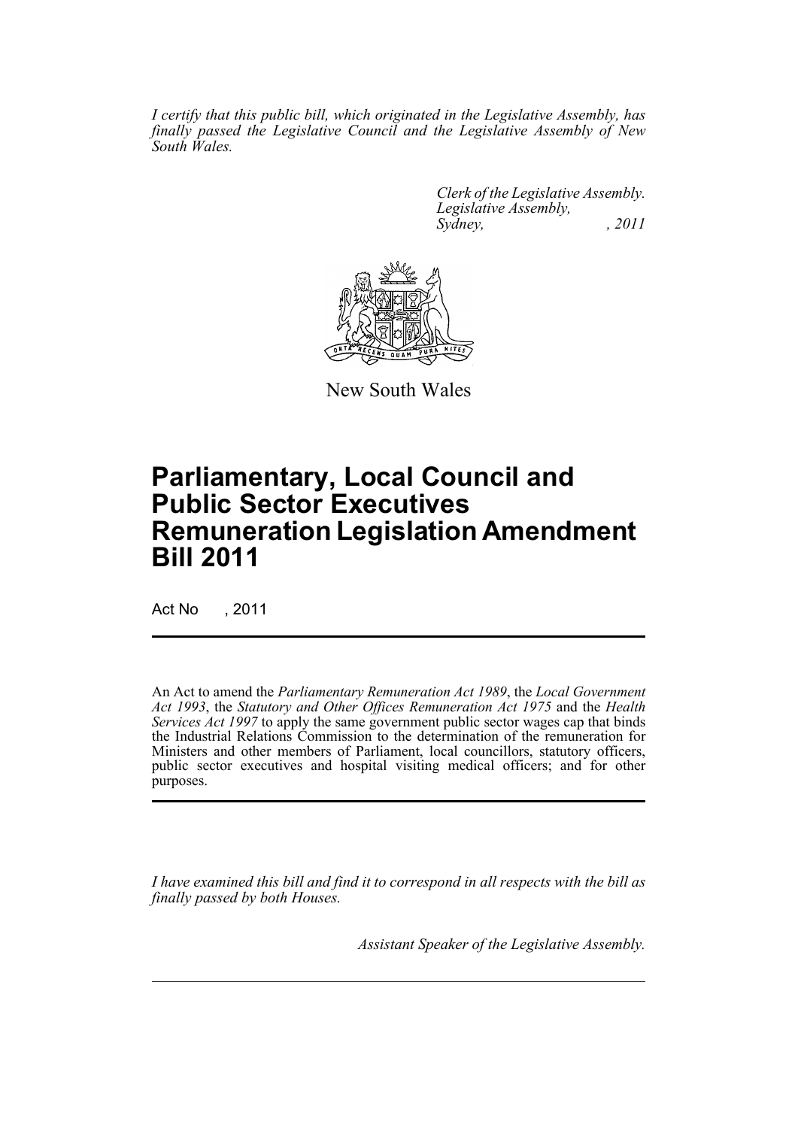*I certify that this public bill, which originated in the Legislative Assembly, has finally passed the Legislative Council and the Legislative Assembly of New South Wales.*

> *Clerk of the Legislative Assembly. Legislative Assembly, Sydney, , 2011*



New South Wales

# **Parliamentary, Local Council and Public Sector Executives Remuneration Legislation Amendment Bill 2011**

Act No , 2011

An Act to amend the *Parliamentary Remuneration Act 1989*, the *Local Government Act 1993*, the *Statutory and Other Offices Remuneration Act 1975* and the *Health Services Act 1997* to apply the same government public sector wages cap that binds the Industrial Relations Commission to the determination of the remuneration for Ministers and other members of Parliament, local councillors, statutory officers, public sector executives and hospital visiting medical officers; and for other purposes.

*I have examined this bill and find it to correspond in all respects with the bill as finally passed by both Houses.*

*Assistant Speaker of the Legislative Assembly.*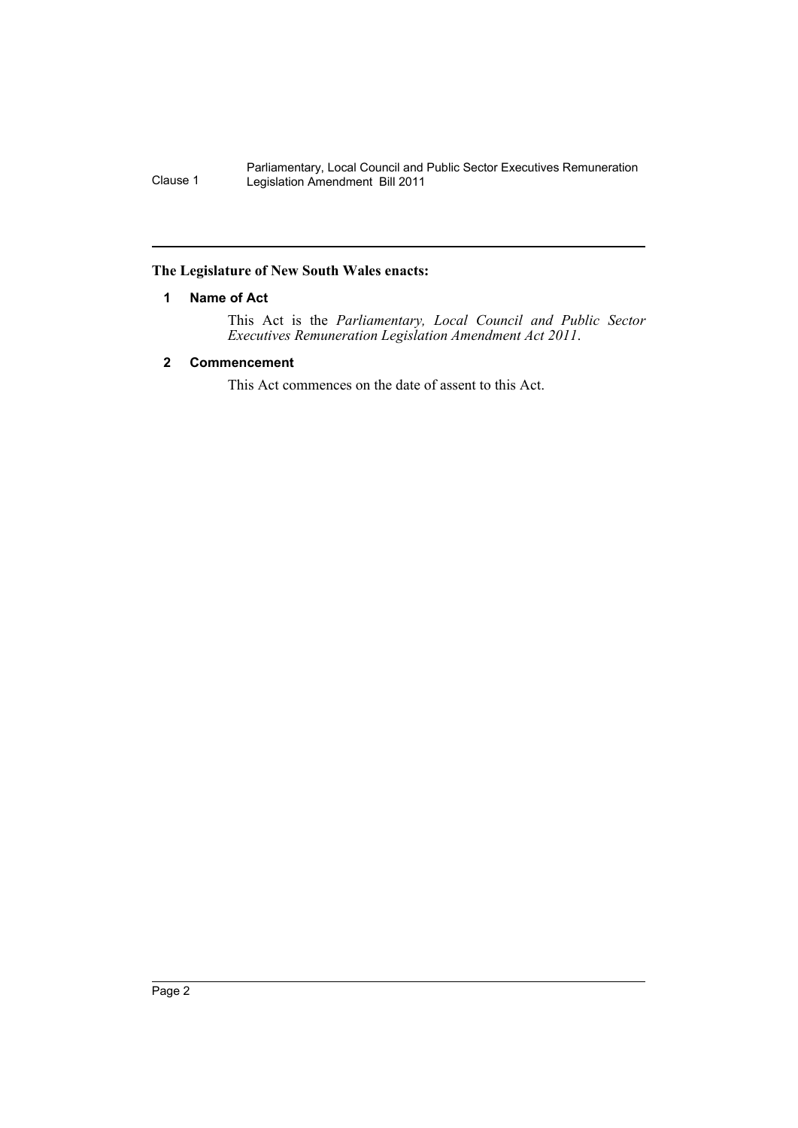# <span id="page-3-0"></span>**The Legislature of New South Wales enacts:**

# **1 Name of Act**

This Act is the *Parliamentary, Local Council and Public Sector Executives Remuneration Legislation Amendment Act 2011*.

# <span id="page-3-1"></span>**2 Commencement**

This Act commences on the date of assent to this Act.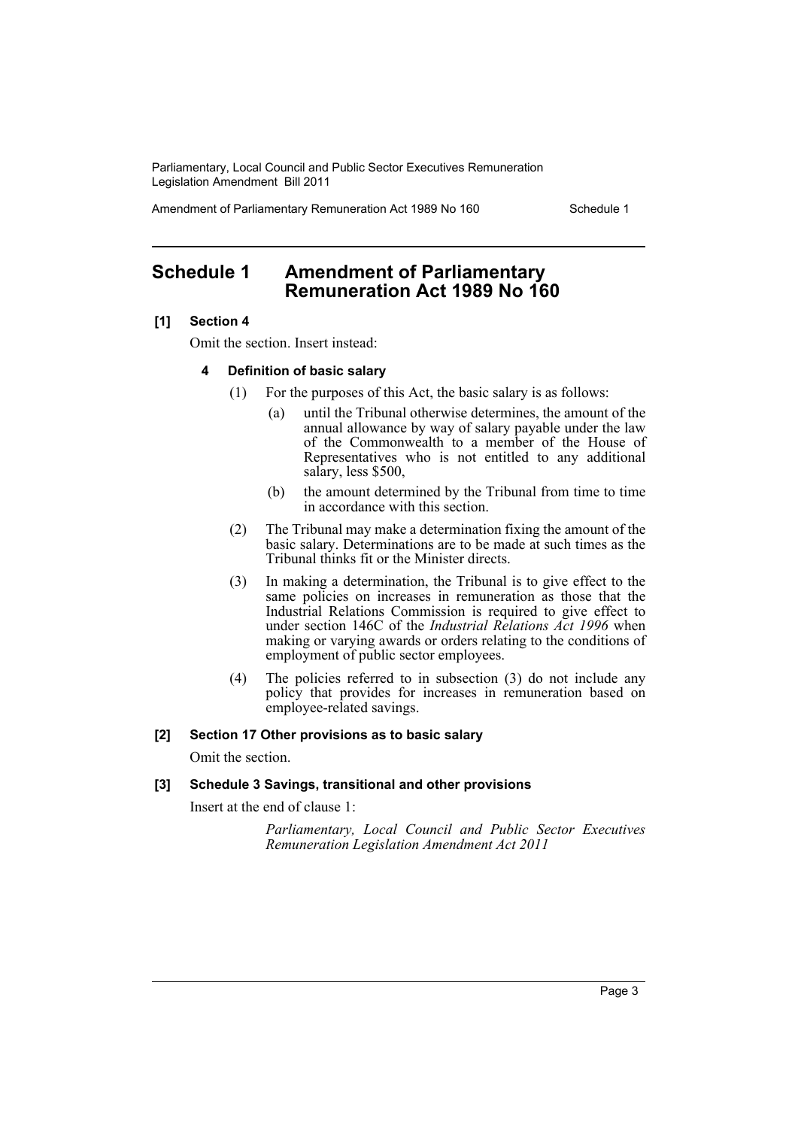Amendment of Parliamentary Remuneration Act 1989 No 160 Schedule 1

# <span id="page-4-0"></span>**Schedule 1 Amendment of Parliamentary Remuneration Act 1989 No 160**

### **[1] Section 4**

Omit the section. Insert instead:

### **4 Definition of basic salary**

- (1) For the purposes of this Act, the basic salary is as follows:
	- (a) until the Tribunal otherwise determines, the amount of the annual allowance by way of salary payable under the law of the Commonwealth to a member of the House of Representatives who is not entitled to any additional salary, less \$500,
	- (b) the amount determined by the Tribunal from time to time in accordance with this section.
- (2) The Tribunal may make a determination fixing the amount of the basic salary. Determinations are to be made at such times as the Tribunal thinks fit or the Minister directs.
- (3) In making a determination, the Tribunal is to give effect to the same policies on increases in remuneration as those that the Industrial Relations Commission is required to give effect to under section 146C of the *Industrial Relations Act 1996* when making or varying awards or orders relating to the conditions of employment of public sector employees.
- (4) The policies referred to in subsection (3) do not include any policy that provides for increases in remuneration based on employee-related savings.

## **[2] Section 17 Other provisions as to basic salary**

Omit the section.

### **[3] Schedule 3 Savings, transitional and other provisions**

Insert at the end of clause 1:

*Parliamentary, Local Council and Public Sector Executives Remuneration Legislation Amendment Act 2011*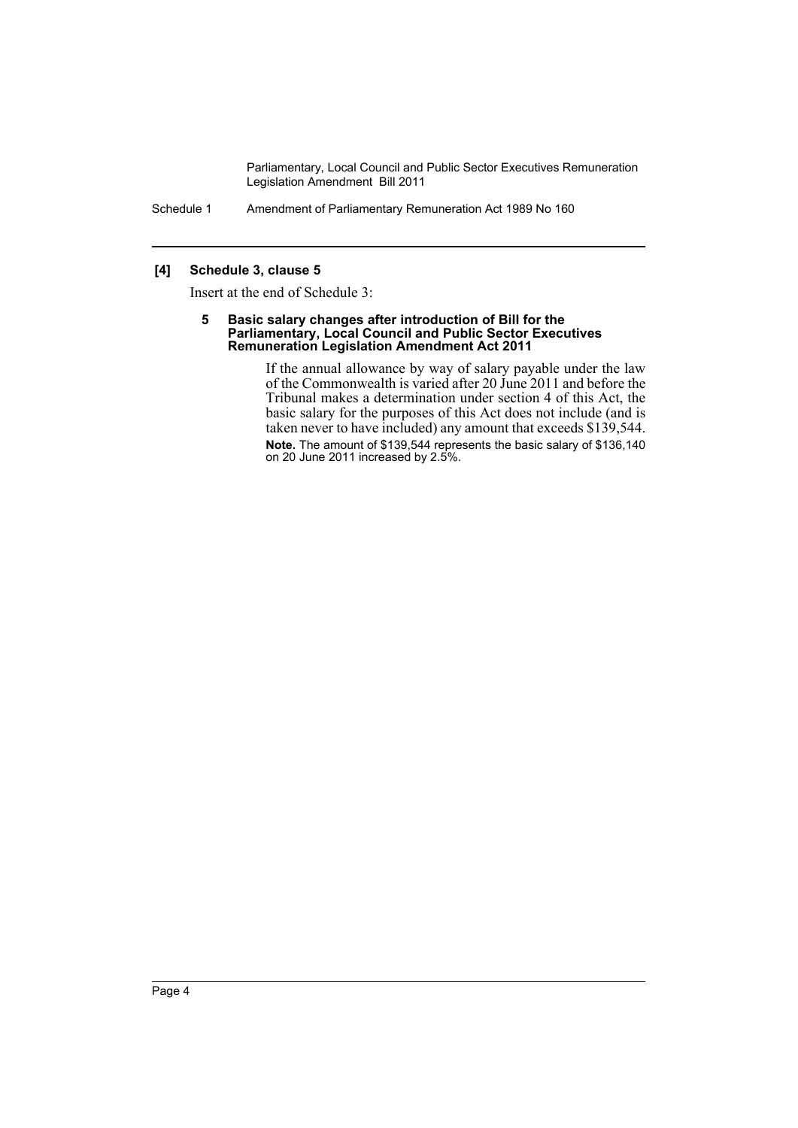Schedule 1 Amendment of Parliamentary Remuneration Act 1989 No 160

# **[4] Schedule 3, clause 5**

Insert at the end of Schedule 3:

#### **5 Basic salary changes after introduction of Bill for the Parliamentary, Local Council and Public Sector Executives Remuneration Legislation Amendment Act 2011**

If the annual allowance by way of salary payable under the law of the Commonwealth is varied after 20 June 2011 and before the Tribunal makes a determination under section 4 of this Act, the basic salary for the purposes of this Act does not include (and is taken never to have included) any amount that exceeds \$139,544. **Note.** The amount of \$139,544 represents the basic salary of \$136,140 on 20 June 2011 increased by 2.5%.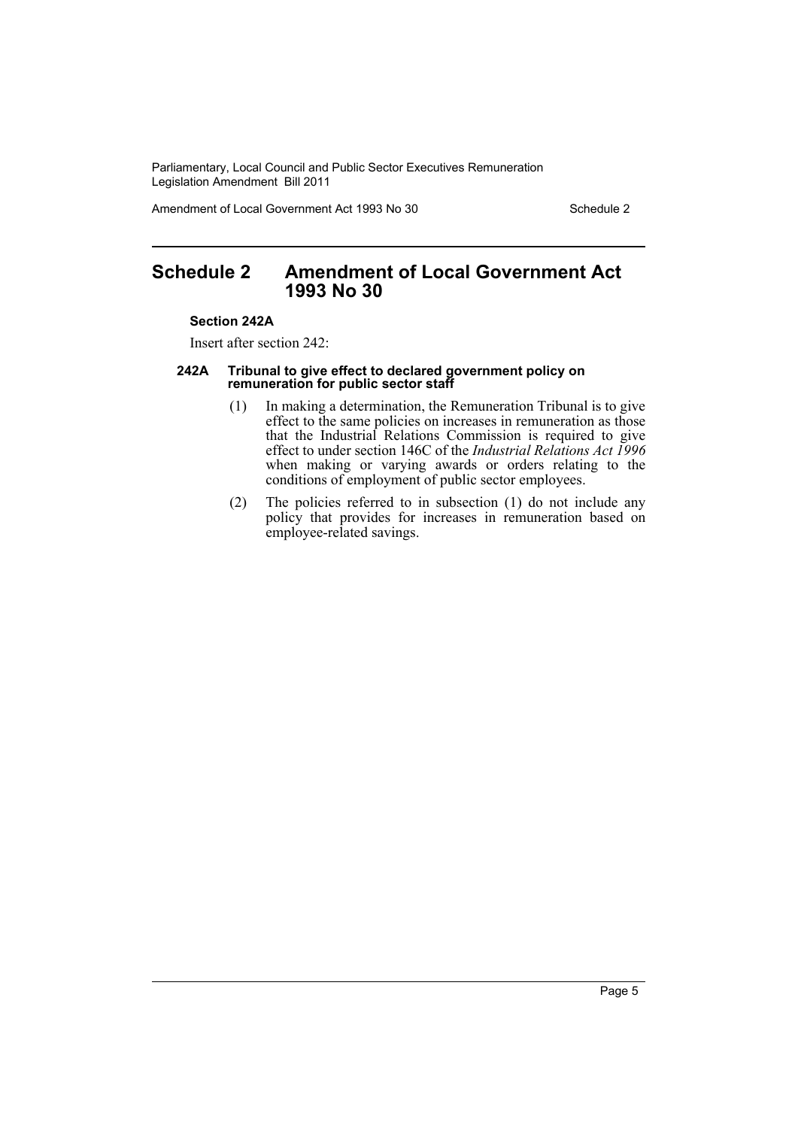Amendment of Local Government Act 1993 No 30 Schedule 2

# <span id="page-6-0"></span>**Schedule 2 Amendment of Local Government Act 1993 No 30**

#### **Section 242A**

Insert after section 242:

#### **242A Tribunal to give effect to declared government policy on remuneration for public sector staff**

- (1) In making a determination, the Remuneration Tribunal is to give effect to the same policies on increases in remuneration as those that the Industrial Relations Commission is required to give effect to under section 146C of the *Industrial Relations Act 1996* when making or varying awards or orders relating to the conditions of employment of public sector employees.
- (2) The policies referred to in subsection (1) do not include any policy that provides for increases in remuneration based on employee-related savings.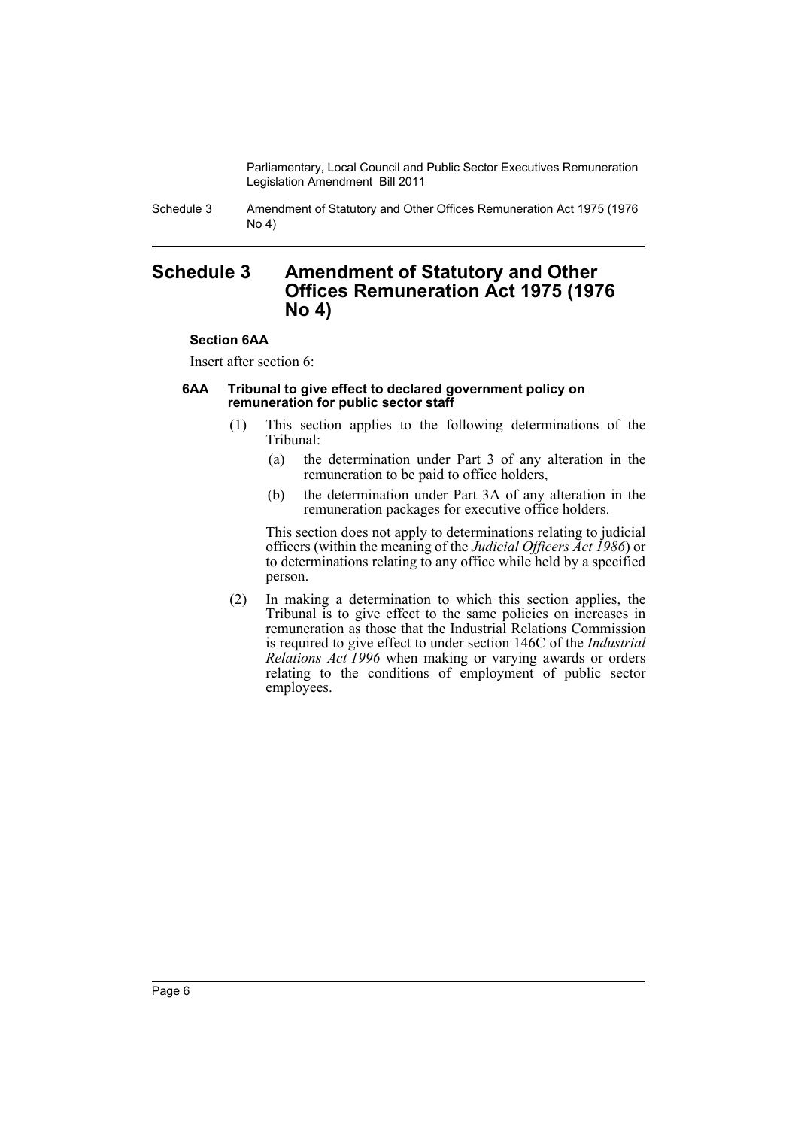Schedule 3 Amendment of Statutory and Other Offices Remuneration Act 1975 (1976 No 4)

# <span id="page-7-0"></span>**Schedule 3 Amendment of Statutory and Other Offices Remuneration Act 1975 (1976 No 4)**

# **Section 6AA**

Insert after section 6:

## **6AA Tribunal to give effect to declared government policy on remuneration for public sector staff**

- (1) This section applies to the following determinations of the Tribunal:
	- (a) the determination under Part 3 of any alteration in the remuneration to be paid to office holders,
	- (b) the determination under Part 3A of any alteration in the remuneration packages for executive office holders.

This section does not apply to determinations relating to judicial officers (within the meaning of the *Judicial Officers Act 1986*) or to determinations relating to any office while held by a specified person.

(2) In making a determination to which this section applies, the Tribunal is to give effect to the same policies on increases in remuneration as those that the Industrial Relations Commission is required to give effect to under section 146C of the *Industrial Relations Act 1996* when making or varying awards or orders relating to the conditions of employment of public sector employees.